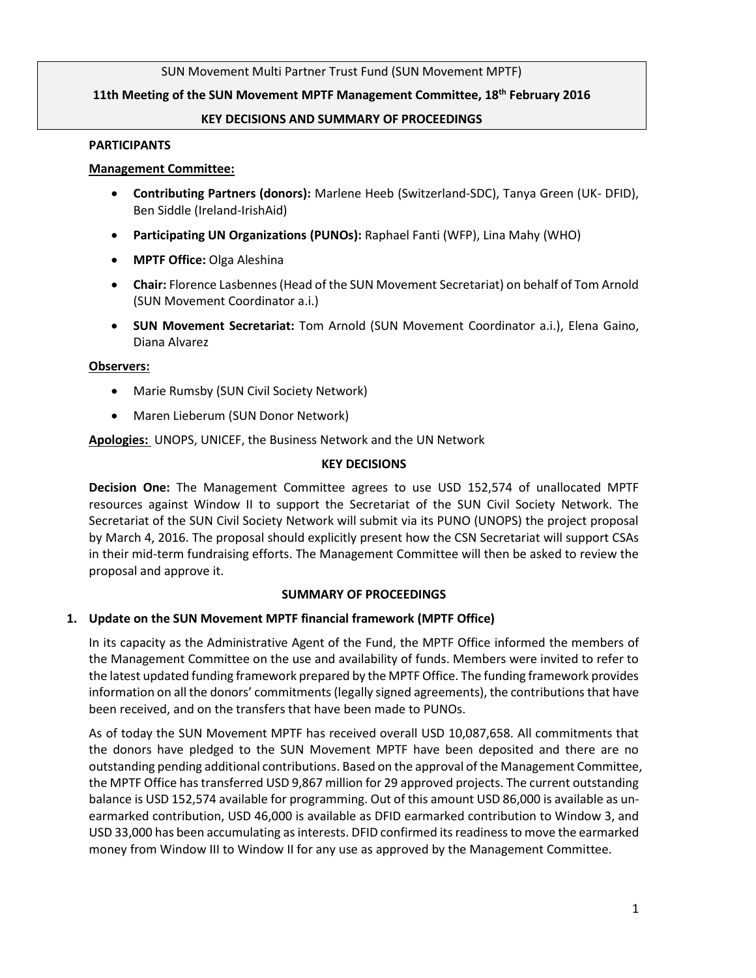### SUN Movement Multi Partner Trust Fund (SUN Movement MPTF)

### **11th Meeting of the SUN Movement MPTF Management Committee, 18th February 2016**

### **KEY DECISIONS AND SUMMARY OF PROCEEDINGS**

#### **PARTICIPANTS**

### **Management Committee:**

- **Contributing Partners (donors):** Marlene Heeb (Switzerland-SDC), Tanya Green (UK- DFID), Ben Siddle (Ireland-IrishAid)
- **Participating UN Organizations (PUNOs):** Raphael Fanti (WFP), Lina Mahy (WHO)
- **MPTF Office:** Olga Aleshina
- **Chair:** Florence Lasbennes (Head of the SUN Movement Secretariat) on behalf of Tom Arnold (SUN Movement Coordinator a.i.)
- **SUN Movement Secretariat:** Tom Arnold (SUN Movement Coordinator a.i.), Elena Gaino, Diana Alvarez

#### **Observers:**

- Marie Rumsby (SUN Civil Society Network)
- Maren Lieberum (SUN Donor Network)

**Apologies:** UNOPS, UNICEF, the Business Network and the UN Network

### **KEY DECISIONS**

**Decision One:** The Management Committee agrees to use USD 152,574 of unallocated MPTF resources against Window II to support the Secretariat of the SUN Civil Society Network. The Secretariat of the SUN Civil Society Network will submit via its PUNO (UNOPS) the project proposal by March 4, 2016. The proposal should explicitly present how the CSN Secretariat will support CSAs in their mid-term fundraising efforts. The Management Committee will then be asked to review the proposal and approve it.

### **SUMMARY OF PROCEEDINGS**

### **1. Update on the SUN Movement MPTF financial framework (MPTF Office)**

In its capacity as the Administrative Agent of the Fund, the MPTF Office informed the members of the Management Committee on the use and availability of funds. Members were invited to refer to the latest updated funding framework prepared by the MPTF Office. The funding framework provides information on all the donors' commitments(legally signed agreements), the contributions that have been received, and on the transfers that have been made to PUNOs.

As of today the SUN Movement MPTF has received overall USD 10,087,658. All commitments that the donors have pledged to the SUN Movement MPTF have been deposited and there are no outstanding pending additional contributions. Based on the approval of the Management Committee, the MPTF Office hastransferred USD 9,867 million for 29 approved projects. The current outstanding balance is USD 152,574 available for programming. Out of this amount USD 86,000 is available as unearmarked contribution, USD 46,000 is available as DFID earmarked contribution to Window 3, and USD 33,000 has been accumulating as interests. DFID confirmed its readiness to move the earmarked money from Window III to Window II for any use as approved by the Management Committee.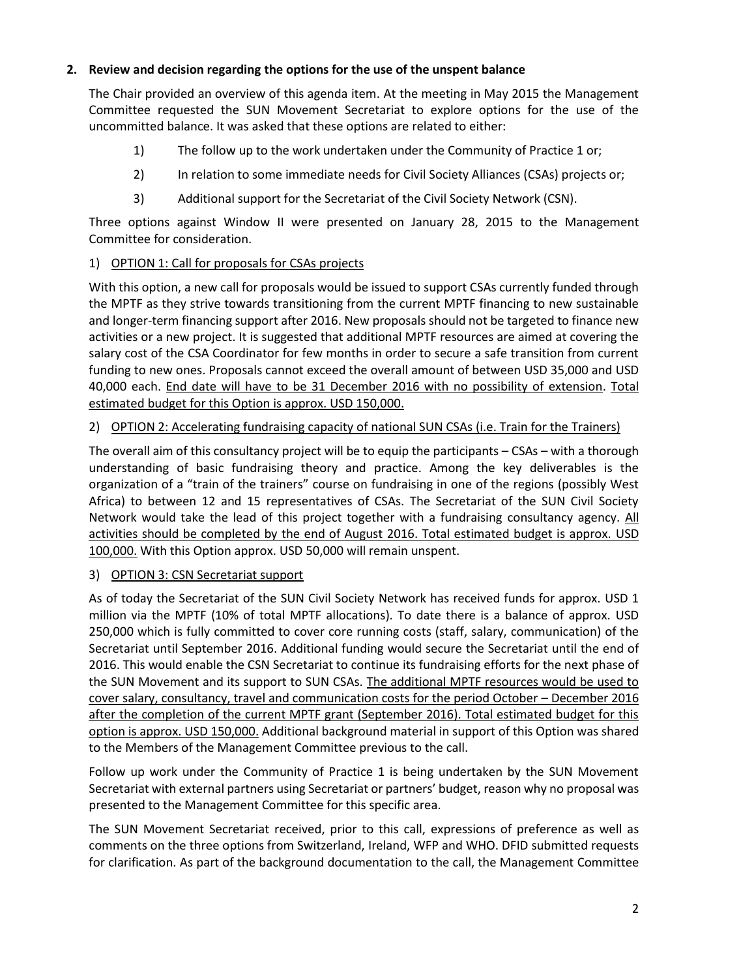# **2. Review and decision regarding the options for the use of the unspent balance**

The Chair provided an overview of this agenda item. At the meeting in May 2015 the Management Committee requested the SUN Movement Secretariat to explore options for the use of the uncommitted balance. It was asked that these options are related to either:

- 1) The follow up to the work undertaken under the Community of Practice 1 or;
- 2) In relation to some immediate needs for Civil Society Alliances (CSAs) projects or;
- 3) Additional support for the Secretariat of the Civil Society Network (CSN).

Three options against Window II were presented on January 28, 2015 to the Management Committee for consideration.

### 1) OPTION 1: Call for proposals for CSAs projects

With this option, a new call for proposals would be issued to support CSAs currently funded through the MPTF as they strive towards transitioning from the current MPTF financing to new sustainable and longer-term financing support after 2016. New proposals should not be targeted to finance new activities or a new project. It is suggested that additional MPTF resources are aimed at covering the salary cost of the CSA Coordinator for few months in order to secure a safe transition from current funding to new ones. Proposals cannot exceed the overall amount of between USD 35,000 and USD 40,000 each. End date will have to be 31 December 2016 with no possibility of extension. Total estimated budget for this Option is approx. USD 150,000.

## 2) OPTION 2: Accelerating fundraising capacity of national SUN CSAs (i.e. Train for the Trainers)

The overall aim of this consultancy project will be to equip the participants – CSAs – with a thorough understanding of basic fundraising theory and practice. Among the key deliverables is the organization of a "train of the trainers" course on fundraising in one of the regions (possibly West Africa) to between 12 and 15 representatives of CSAs. The Secretariat of the SUN Civil Society Network would take the lead of this project together with a fundraising consultancy agency. All activities should be completed by the end of August 2016. Total estimated budget is approx. USD 100,000. With this Option approx. USD 50,000 will remain unspent.

# 3) OPTION 3: CSN Secretariat support

As of today the Secretariat of the SUN Civil Society Network has received funds for approx. USD 1 million via the MPTF (10% of total MPTF allocations). To date there is a balance of approx. USD 250,000 which is fully committed to cover core running costs (staff, salary, communication) of the Secretariat until September 2016. Additional funding would secure the Secretariat until the end of 2016. This would enable the CSN Secretariat to continue its fundraising efforts for the next phase of the SUN Movement and its support to SUN CSAs. The additional MPTF resources would be used to cover salary, consultancy, travel and communication costs for the period October – December 2016 after the completion of the current MPTF grant (September 2016). Total estimated budget for this option is approx. USD 150,000. Additional background material in support of this Option was shared to the Members of the Management Committee previous to the call.

Follow up work under the Community of Practice 1 is being undertaken by the SUN Movement Secretariat with external partners using Secretariat or partners' budget, reason why no proposal was presented to the Management Committee for this specific area.

The SUN Movement Secretariat received, prior to this call, expressions of preference as well as comments on the three options from Switzerland, Ireland, WFP and WHO. DFID submitted requests for clarification. As part of the background documentation to the call, the Management Committee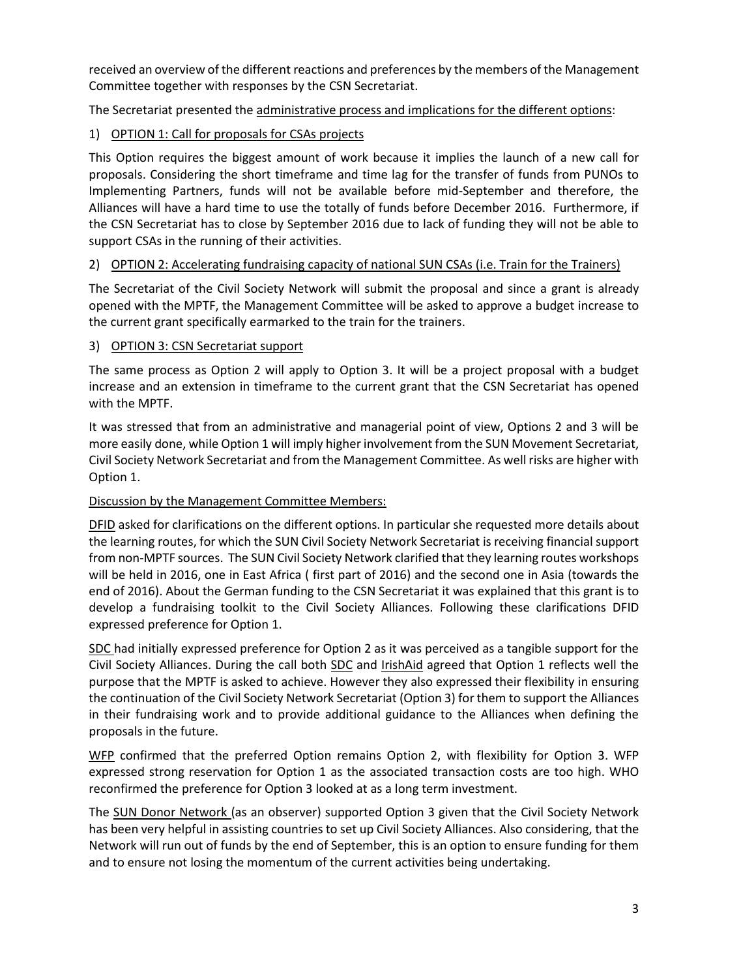received an overview of the different reactions and preferences by the members of the Management Committee together with responses by the CSN Secretariat.

The Secretariat presented the administrative process and implications for the different options:

# 1) OPTION 1: Call for proposals for CSAs projects

This Option requires the biggest amount of work because it implies the launch of a new call for proposals. Considering the short timeframe and time lag for the transfer of funds from PUNOs to Implementing Partners, funds will not be available before mid-September and therefore, the Alliances will have a hard time to use the totally of funds before December 2016. Furthermore, if the CSN Secretariat has to close by September 2016 due to lack of funding they will not be able to support CSAs in the running of their activities.

## 2) OPTION 2: Accelerating fundraising capacity of national SUN CSAs (i.e. Train for the Trainers)

The Secretariat of the Civil Society Network will submit the proposal and since a grant is already opened with the MPTF, the Management Committee will be asked to approve a budget increase to the current grant specifically earmarked to the train for the trainers.

### 3) OPTION 3: CSN Secretariat support

The same process as Option 2 will apply to Option 3. It will be a project proposal with a budget increase and an extension in timeframe to the current grant that the CSN Secretariat has opened with the MPTF.

It was stressed that from an administrative and managerial point of view, Options 2 and 3 will be more easily done, while Option 1 will imply higher involvement from the SUN Movement Secretariat, Civil Society Network Secretariat and from the Management Committee. As well risks are higher with Option 1.

### Discussion by the Management Committee Members:

DFID asked for clarifications on the different options. In particular she requested more details about the learning routes, for which the SUN Civil Society Network Secretariat is receiving financial support from non-MPTF sources. The SUN Civil Society Network clarified that they learning routes workshops will be held in 2016, one in East Africa ( first part of 2016) and the second one in Asia (towards the end of 2016). About the German funding to the CSN Secretariat it was explained that this grant is to develop a fundraising toolkit to the Civil Society Alliances. Following these clarifications DFID expressed preference for Option 1.

SDC had initially expressed preference for Option 2 as it was perceived as a tangible support for the Civil Society Alliances. During the call both SDC and IrishAid agreed that Option 1 reflects well the purpose that the MPTF is asked to achieve. However they also expressed their flexibility in ensuring the continuation of the Civil Society Network Secretariat (Option 3) for them to support the Alliances in their fundraising work and to provide additional guidance to the Alliances when defining the proposals in the future.

WFP confirmed that the preferred Option remains Option 2, with flexibility for Option 3. WFP expressed strong reservation for Option 1 as the associated transaction costs are too high. WHO reconfirmed the preference for Option 3 looked at as a long term investment.

The SUN Donor Network (as an observer) supported Option 3 given that the Civil Society Network has been very helpful in assisting countries to set up Civil Society Alliances. Also considering, that the Network will run out of funds by the end of September, this is an option to ensure funding for them and to ensure not losing the momentum of the current activities being undertaking.